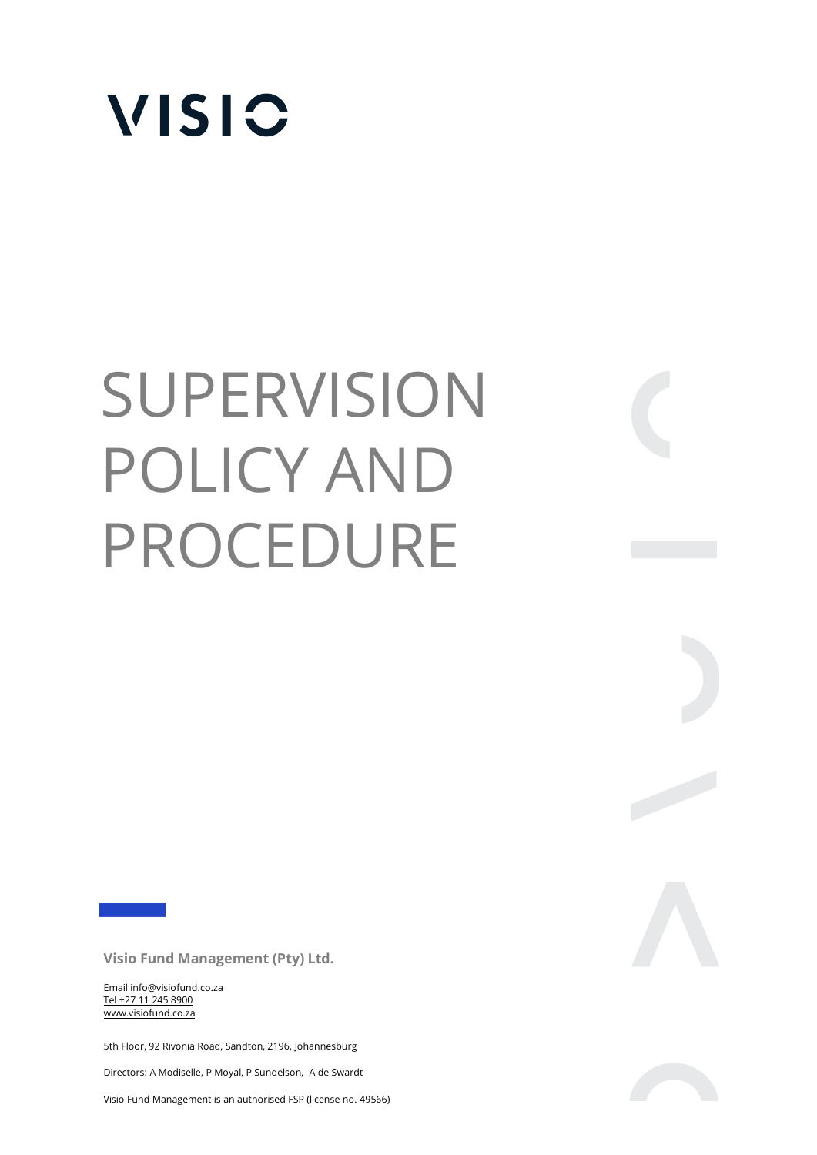

# **SUPERVISION** POLICY AND PROCEDURE

 $\begin{array}{c} \begin{array}{c} \begin{array}{c} \end{array} \\ \begin{array}{c} \end{array} \end{array} \end{array}$ 

**Visio Fund Management (Pty) Ltd.** 

Email info@visiofund.co.za Tel +27 11 245 8900 www.visiofund.co.za

5th Floor, 92 Rivonia Road, Sandton, 2196, Johannesburg

Directors: A Modiselle, P Moyal, P Sundelson, A de Swardt

Visio Fund Management is an authorised FSP (license no. 49566)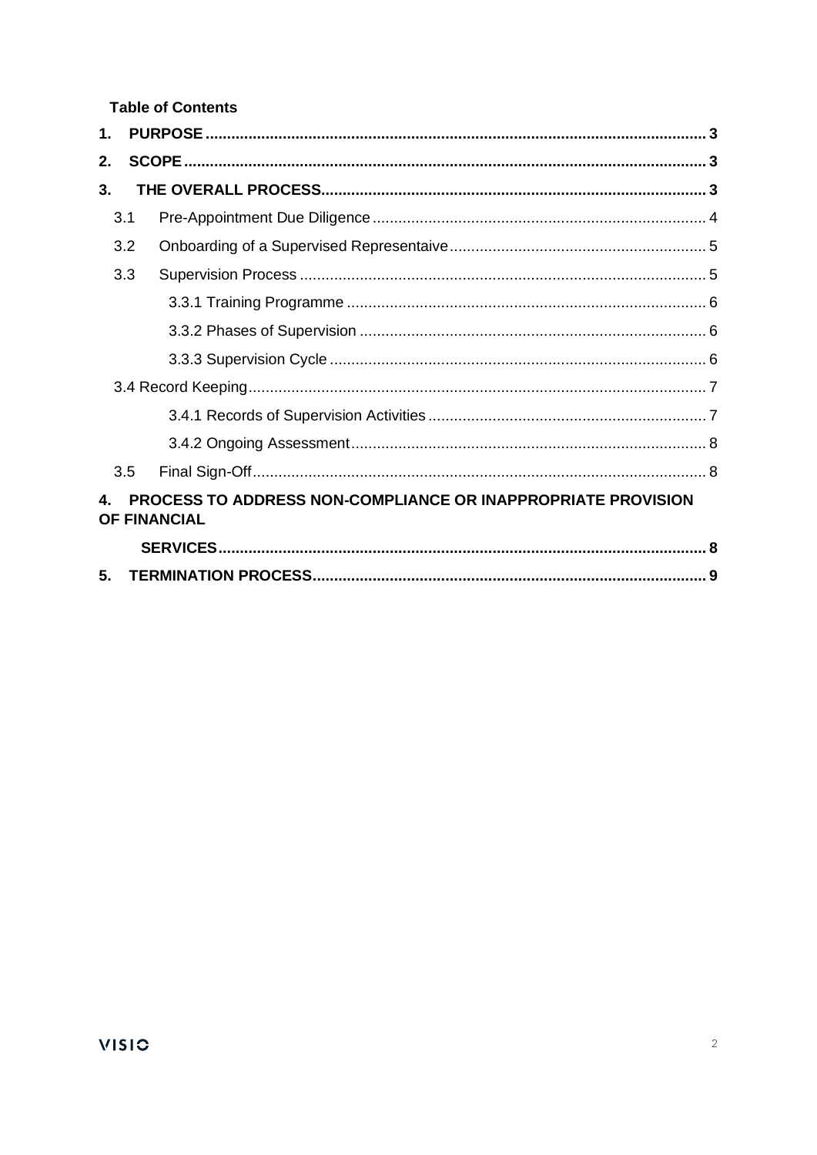**Table of Contents** 

| 1.                                                                                  |  |
|-------------------------------------------------------------------------------------|--|
| 2.                                                                                  |  |
| 3.                                                                                  |  |
| 3.1                                                                                 |  |
| 3.2                                                                                 |  |
| 3.3                                                                                 |  |
|                                                                                     |  |
|                                                                                     |  |
|                                                                                     |  |
|                                                                                     |  |
|                                                                                     |  |
|                                                                                     |  |
| 3.5                                                                                 |  |
| PROCESS TO ADDRESS NON-COMPLIANCE OR INAPPROPRIATE PROVISION<br><b>OF FINANCIAL</b> |  |
|                                                                                     |  |
| 5.                                                                                  |  |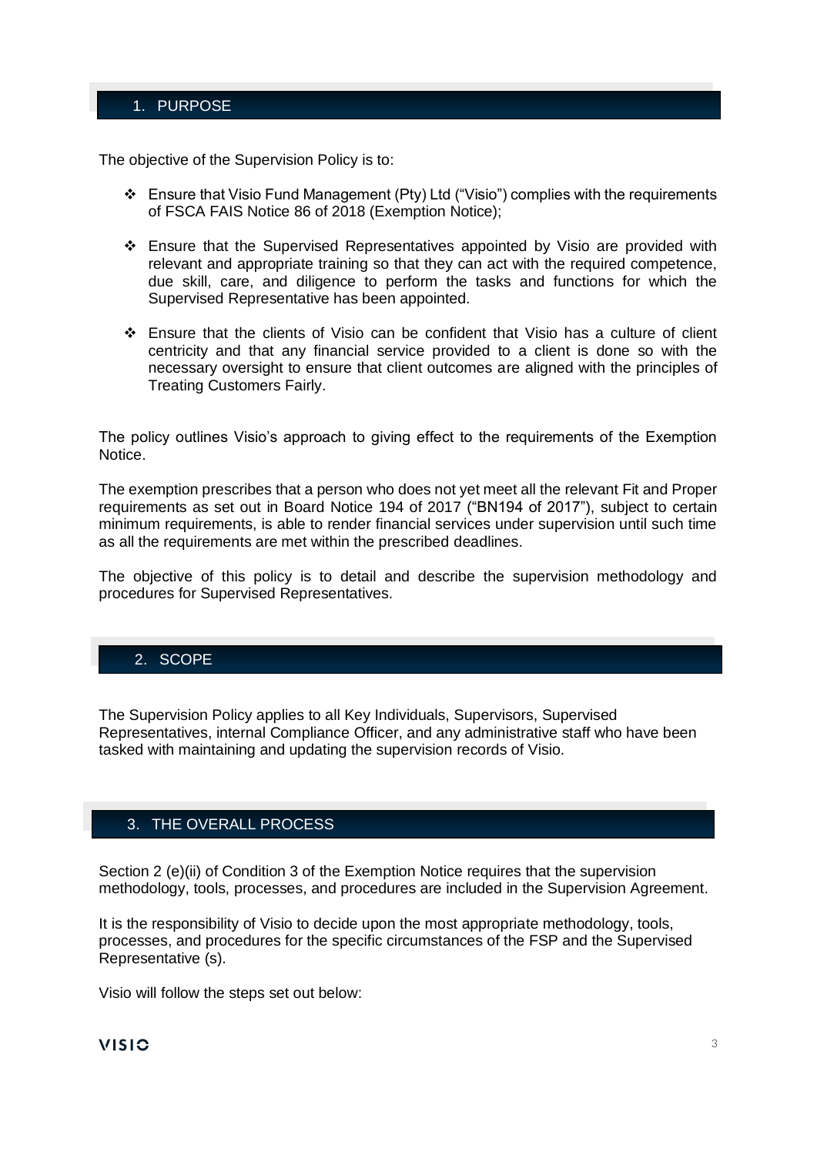#### 1. PURPOSE

The objective of the Supervision Policy is to:

- ❖ Ensure that Visio Fund Management (Pty) Ltd ("Visio") complies with the requirements of FSCA FAIS Notice 86 of 2018 (Exemption Notice);
- ❖ Ensure that the Supervised Representatives appointed by Visio are provided with relevant and appropriate training so that they can act with the required competence, due skill, care, and diligence to perform the tasks and functions for which the Supervised Representative has been appointed.
- ❖ Ensure that the clients of Visio can be confident that Visio has a culture of client centricity and that any financial service provided to a client is done so with the necessary oversight to ensure that client outcomes are aligned with the principles of Treating Customers Fairly.

The policy outlines Visio's approach to giving effect to the requirements of the Exemption Notice.

The exemption prescribes that a person who does not yet meet all the relevant Fit and Proper requirements as set out in Board Notice 194 of 2017 ("BN194 of 2017"), subject to certain minimum requirements, is able to render financial services under supervision until such time as all the requirements are met within the prescribed deadlines.

The objective of this policy is to detail and describe the supervision methodology and procedures for Supervised Representatives.

#### 2. SCOPE

The Supervision Policy applies to all Key Individuals, Supervisors, Supervised Representatives, internal Compliance Officer, and any administrative staff who have been tasked with maintaining and updating the supervision records of Visio.

#### 3. THE OVERALL PROCESS

Section 2 (e)(ii) of Condition 3 of the Exemption Notice requires that the supervision methodology, tools, processes, and procedures are included in the Supervision Agreement.

It is the responsibility of Visio to decide upon the most appropriate methodology, tools, processes, and procedures for the specific circumstances of the FSP and the Supervised Representative (s).

Visio will follow the steps set out below:

# **VISIC**  $\frac{3}{3}$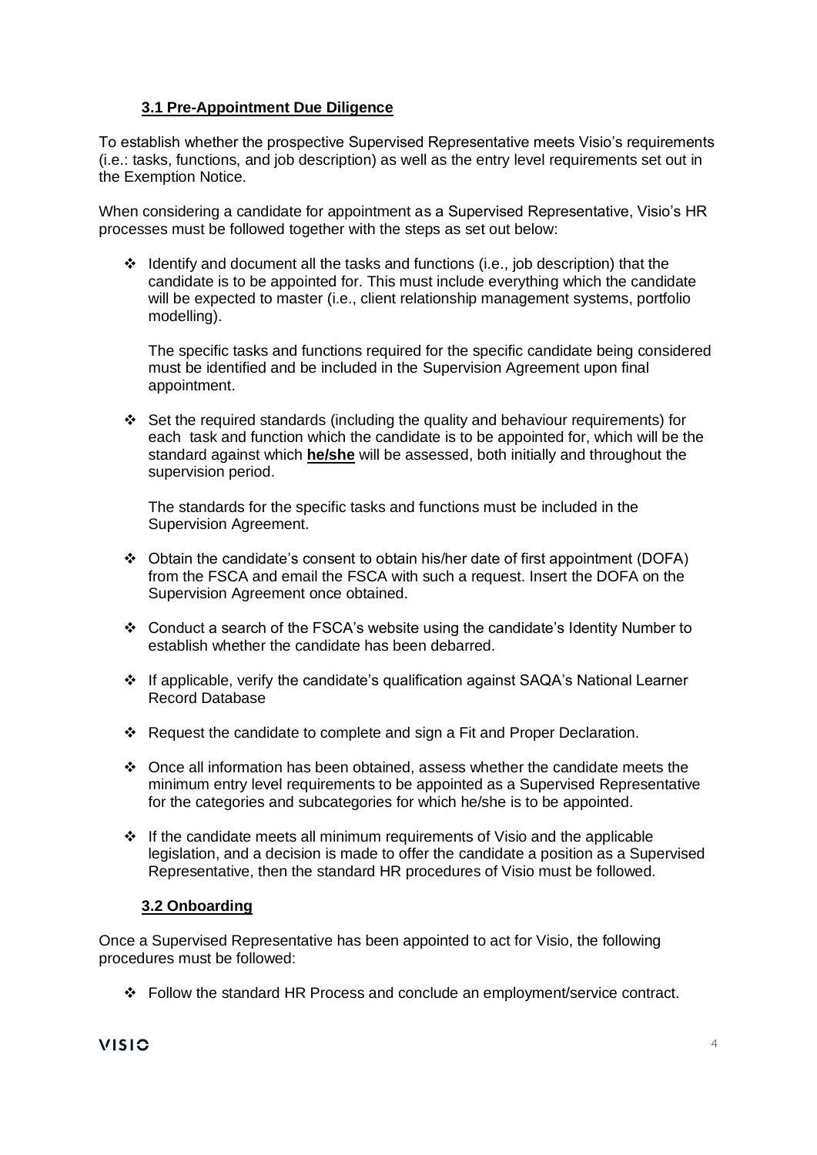#### **3.1 Pre-Appointment Due Diligence**

To establish whether the prospective Supervised Representative meets Visio's requirements (i.e.: tasks, functions, and job description) as well as the entry level requirements set out in the Exemption Notice.

When considering a candidate for appointment as a Supervised Representative, Visio's HR processes must be followed together with the steps as set out below:

❖ Identify and document all the tasks and functions (i.e., job description) that the candidate is to be appointed for. This must include everything which the candidate will be expected to master (i.e., client relationship management systems, portfolio modelling).

The specific tasks and functions required for the specific candidate being considered must be identified and be included in the Supervision Agreement upon final appointment.

❖ Set the required standards (including the quality and behaviour requirements) for each task and function which the candidate is to be appointed for, which will be the standard against which **he/she** will be assessed, both initially and throughout the supervision period.

The standards for the specific tasks and functions must be included in the Supervision Agreement.

- ❖ Obtain the candidate's consent to obtain his/her date of first appointment (DOFA) from the FSCA and email the FSCA with such a request. Insert the DOFA on the Supervision Agreement once obtained.
- ❖ Conduct a search of the FSCA's website using the candidate's Identity Number to establish whether the candidate has been debarred.
- ❖ If applicable, verify the candidate's qualification against SAQA's National Learner Record Database
- ❖ Request the candidate to complete and sign a Fit and Proper Declaration.
- ❖ Once all information has been obtained, assess whether the candidate meets the minimum entry level requirements to be appointed as a Supervised Representative for the categories and subcategories for which he/she is to be appointed.
- ❖ If the candidate meets all minimum requirements of Visio and the applicable legislation, and a decision is made to offer the candidate a position as a Supervised Representative, then the standard HR procedures of Visio must be followed.

#### **3.2 Onboarding**

Once a Supervised Representative has been appointed to act for Visio, the following procedures must be followed:

❖ Follow the standard HR Process and conclude an employment/service contract.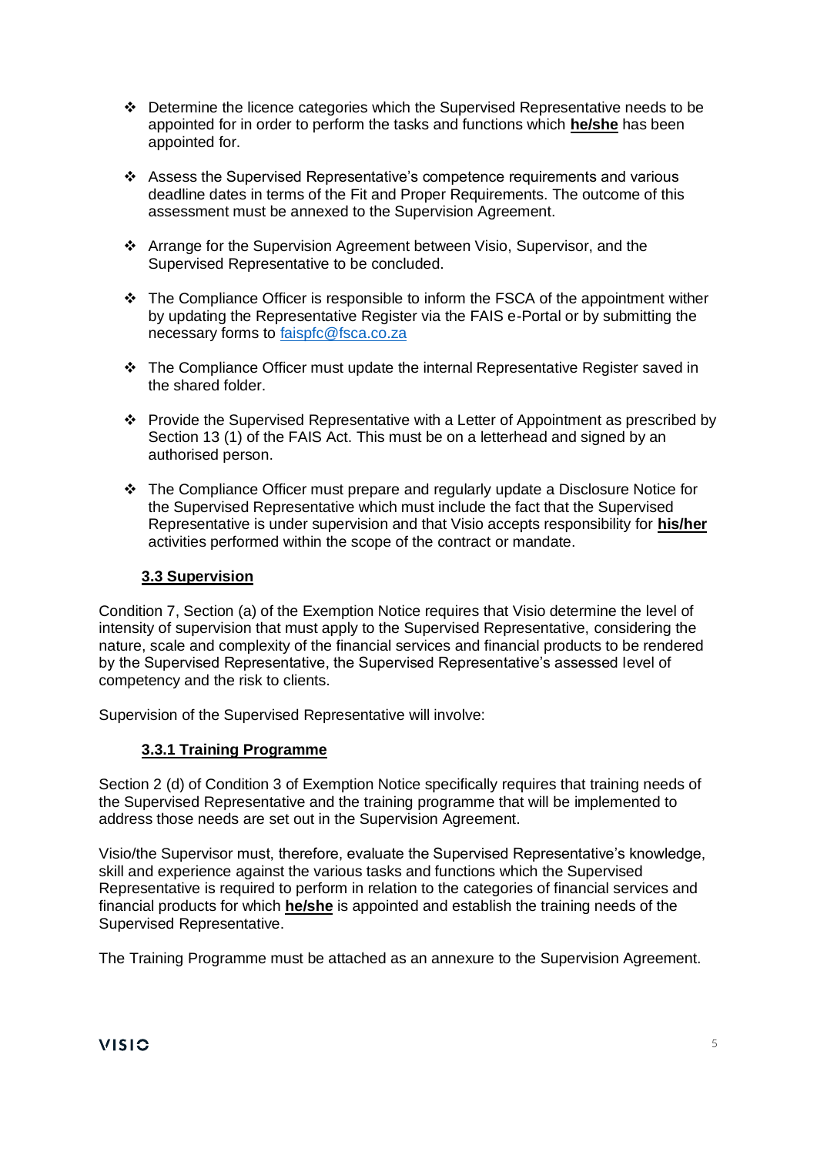- ❖ Determine the licence categories which the Supervised Representative needs to be appointed for in order to perform the tasks and functions which **he/she** has been appointed for.
- ❖ Assess the Supervised Representative's competence requirements and various deadline dates in terms of the Fit and Proper Requirements. The outcome of this assessment must be annexed to the Supervision Agreement.
- ❖ Arrange for the Supervision Agreement between Visio, Supervisor, and the Supervised Representative to be concluded.
- ❖ The Compliance Officer is responsible to inform the FSCA of the appointment wither by updating the Representative Register via the FAIS e-Portal or by submitting the necessary forms to [faispfc@fsca.co.za](mailto:faispfc@fsca.co.za)
- ❖ The Compliance Officer must update the internal Representative Register saved in the shared folder.
- ❖ Provide the Supervised Representative with a Letter of Appointment as prescribed by Section 13 (1) of the FAIS Act. This must be on a letterhead and signed by an authorised person.
- ❖ The Compliance Officer must prepare and regularly update a Disclosure Notice for the Supervised Representative which must include the fact that the Supervised Representative is under supervision and that Visio accepts responsibility for **his/her** activities performed within the scope of the contract or mandate.

## **3.3 Supervision**

Condition 7, Section (a) of the Exemption Notice requires that Visio determine the level of intensity of supervision that must apply to the Supervised Representative, considering the nature, scale and complexity of the financial services and financial products to be rendered by the Supervised Representative, the Supervised Representative's assessed level of competency and the risk to clients.

Supervision of the Supervised Representative will involve:

# **3.3.1 Training Programme**

Section 2 (d) of Condition 3 of Exemption Notice specifically requires that training needs of the Supervised Representative and the training programme that will be implemented to address those needs are set out in the Supervision Agreement.

Visio/the Supervisor must, therefore, evaluate the Supervised Representative's knowledge, skill and experience against the various tasks and functions which the Supervised Representative is required to perform in relation to the categories of financial services and financial products for which **he/she** is appointed and establish the training needs of the Supervised Representative.

The Training Programme must be attached as an annexure to the Supervision Agreement.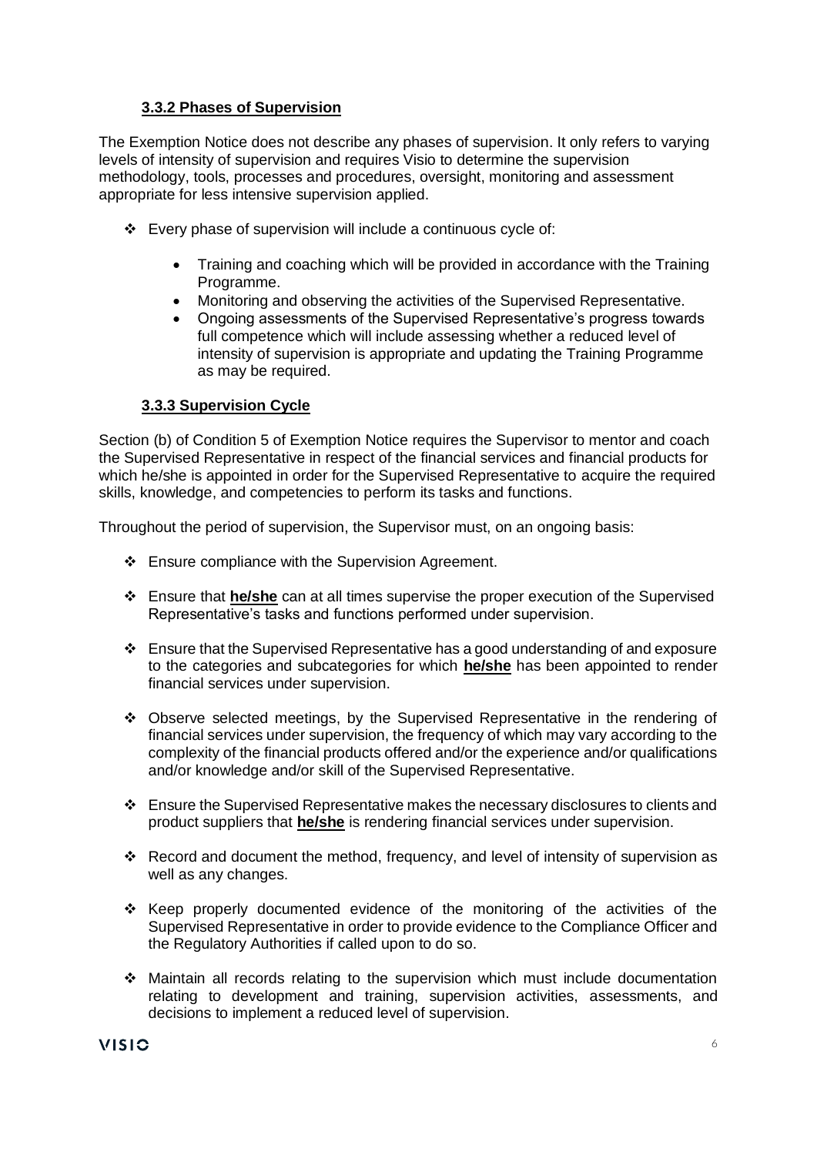#### **3.3.2 Phases of Supervision**

The Exemption Notice does not describe any phases of supervision. It only refers to varying levels of intensity of supervision and requires Visio to determine the supervision methodology, tools, processes and procedures, oversight, monitoring and assessment appropriate for less intensive supervision applied.

- ❖ Every phase of supervision will include a continuous cycle of:
	- Training and coaching which will be provided in accordance with the Training Programme.
	- Monitoring and observing the activities of the Supervised Representative.
	- Ongoing assessments of the Supervised Representative's progress towards full competence which will include assessing whether a reduced level of intensity of supervision is appropriate and updating the Training Programme as may be required.

#### **3.3.3 Supervision Cycle**

Section (b) of Condition 5 of Exemption Notice requires the Supervisor to mentor and coach the Supervised Representative in respect of the financial services and financial products for which he/she is appointed in order for the Supervised Representative to acquire the required skills, knowledge, and competencies to perform its tasks and functions.

Throughout the period of supervision, the Supervisor must, on an ongoing basis:

- ❖ Ensure compliance with the Supervision Agreement.
- ❖ Ensure that **he/she** can at all times supervise the proper execution of the Supervised Representative's tasks and functions performed under supervision.
- ❖ Ensure that the Supervised Representative has a good understanding of and exposure to the categories and subcategories for which **he/she** has been appointed to render financial services under supervision.
- ❖ Observe selected meetings, by the Supervised Representative in the rendering of financial services under supervision, the frequency of which may vary according to the complexity of the financial products offered and/or the experience and/or qualifications and/or knowledge and/or skill of the Supervised Representative.
- ❖ Ensure the Supervised Representative makes the necessary disclosures to clients and product suppliers that **he/she** is rendering financial services under supervision.
- ❖ Record and document the method, frequency, and level of intensity of supervision as well as any changes.
- ❖ Keep properly documented evidence of the monitoring of the activities of the Supervised Representative in order to provide evidence to the Compliance Officer and the Regulatory Authorities if called upon to do so.
- ❖ Maintain all records relating to the supervision which must include documentation relating to development and training, supervision activities, assessments, and decisions to implement a reduced level of supervision.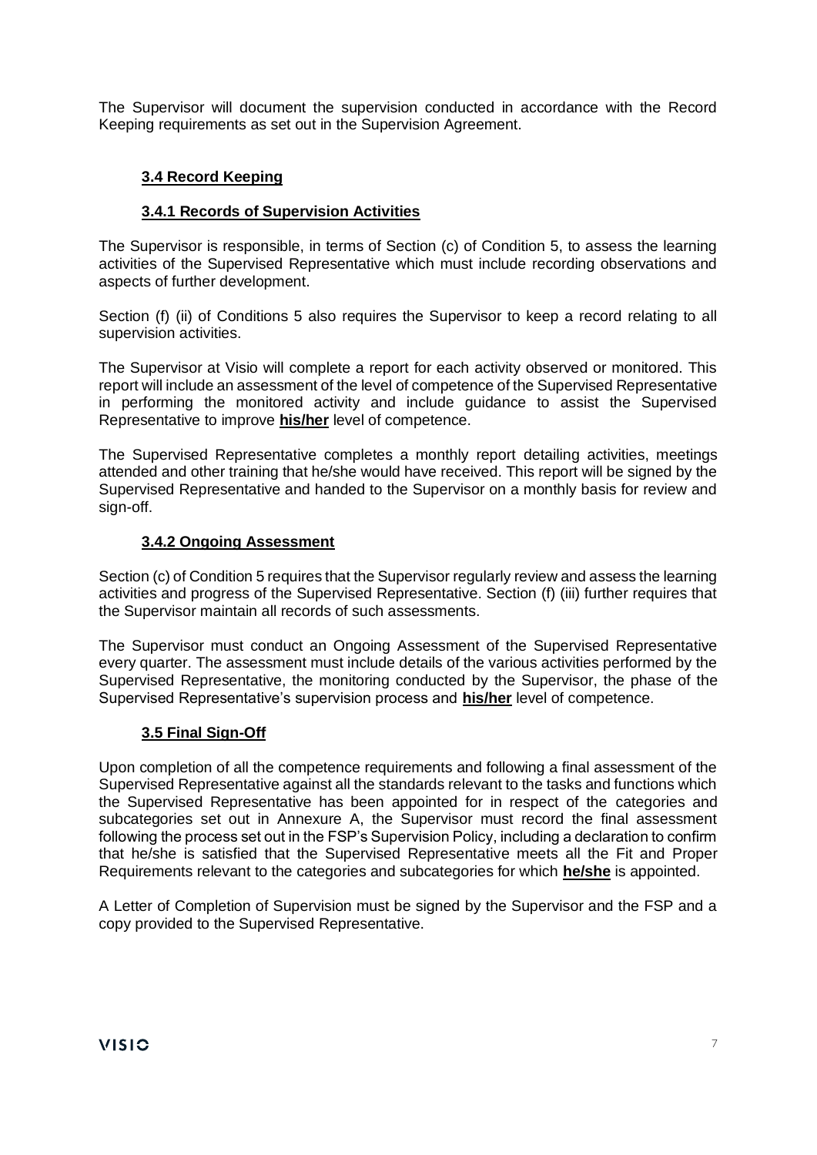The Supervisor will document the supervision conducted in accordance with the Record Keeping requirements as set out in the Supervision Agreement.

# **3.4 Record Keeping**

#### **3.4.1 Records of Supervision Activities**

The Supervisor is responsible, in terms of Section (c) of Condition 5, to assess the learning activities of the Supervised Representative which must include recording observations and aspects of further development.

Section (f) (ii) of Conditions 5 also requires the Supervisor to keep a record relating to all supervision activities.

The Supervisor at Visio will complete a report for each activity observed or monitored. This report will include an assessment of the level of competence of the Supervised Representative in performing the monitored activity and include guidance to assist the Supervised Representative to improve **his/her** level of competence.

The Supervised Representative completes a monthly report detailing activities, meetings attended and other training that he/she would have received. This report will be signed by the Supervised Representative and handed to the Supervisor on a monthly basis for review and sign-off.

#### **3.4.2 Ongoing Assessment**

Section (c) of Condition 5 requires that the Supervisor regularly review and assess the learning activities and progress of the Supervised Representative. Section (f) (iii) further requires that the Supervisor maintain all records of such assessments.

The Supervisor must conduct an Ongoing Assessment of the Supervised Representative every quarter. The assessment must include details of the various activities performed by the Supervised Representative, the monitoring conducted by the Supervisor, the phase of the Supervised Representative's supervision process and **his/her** level of competence.

#### **3.5 Final Sign-Off**

Upon completion of all the competence requirements and following a final assessment of the Supervised Representative against all the standards relevant to the tasks and functions which the Supervised Representative has been appointed for in respect of the categories and subcategories set out in Annexure A, the Supervisor must record the final assessment following the process set out in the FSP's Supervision Policy, including a declaration to confirm that he/she is satisfied that the Supervised Representative meets all the Fit and Proper Requirements relevant to the categories and subcategories for which **he/she** is appointed.

A Letter of Completion of Supervision must be signed by the Supervisor and the FSP and a copy provided to the Supervised Representative.